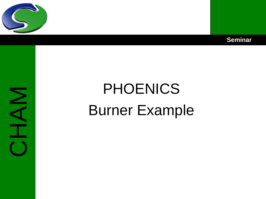



# NAH

# PHOENICS Burner Example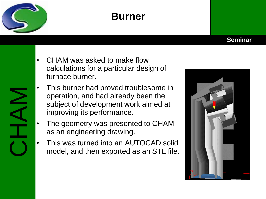

# **Burner**

### **Seminar**



- CHAM was asked to make flow calculations for a particular design of furnace burner.
- This burner had proved troublesome in operation, and had already been the subject of development work aimed at improving its performance.
- The geometry was presented to CHAM as an engineering drawing.
- This was turned into an AUTOCAD solid model, and then exported as an STL file.

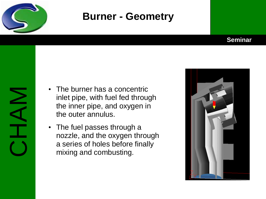

### **Burner - Geometry**

### **Seminar**

- The burner has a concentric inlet pipe, with fuel fed through the inner pipe, and oxygen in the outer annulus.
- The fuel passes through a nozzle, and the oxygen through a series of holes before finally mixing and combusting.

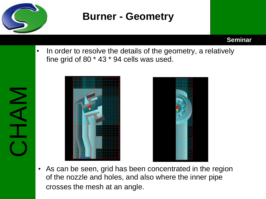

### **Burner - Geometry**

**Seminar**

• In order to resolve the details of the geometry, a relatively fine grid of 80 \* 43 \* 94 cells was used.





• As can be seen, grid has been concentrated in the region of the nozzle and holes, and also where the inner pipe crosses the mesh at an angle.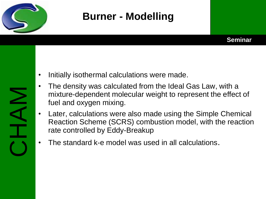

# **Burner - Modelling**



- The density was calculated from the Ideal Gas Law, with a mixture-dependent molecular weight to represent the effect of fuel and oxygen mixing.
- Later, calculations were also made using the Simple Chemical Reaction Scheme (SCRS) combustion model, with the reaction rate controlled by Eddy-Breakup
- The standard k-e model was used in all calculations.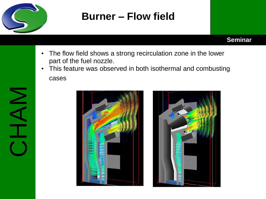

CHAM

# **Burner – Flow field**

### **Seminar**

- The flow field shows a strong recirculation zone in the lower part of the fuel nozzle.
- This feature was observed in both isothermal and combusting cases



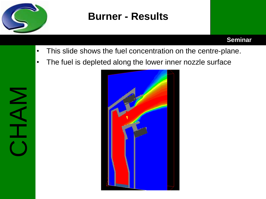

## **Burner - Results**

### **Seminar**

- This slide shows the fuel concentration on the centre-plane.
- The fuel is depleted along the lower inner nozzle surface

CHAM

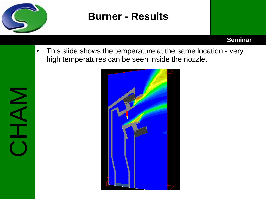

### **Burner - Results**

### **Seminar**

• This slide shows the temperature at the same location - very high temperatures can be seen inside the nozzle.

CHAM